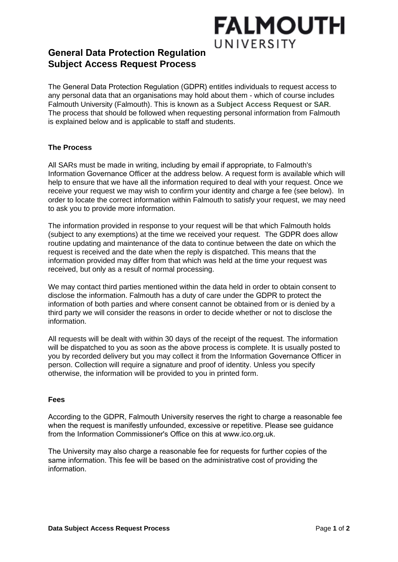# **FALMOUTH** UNIVERSITY

### **General Data Protection Regulation Subject Access Request Process**

The General Data Protection Regulation (GDPR) entitles individuals to request access to any personal data that an organisations may hold about them - which of course includes Falmouth University (Falmouth). This is known as a **Subject Access Request or SAR**. The process that should be followed when requesting personal information from Falmouth is explained below and is applicable to staff and students.

#### **The Process**

All SARs must be made in writing, including by email if appropriate, to Falmouth's Information Governance Officer at the address below. A request form is available which will help to ensure that we have all the information required to deal with your request. Once we receive your request we may wish to confirm your identity and charge a fee (see below). In order to locate the correct information within Falmouth to satisfy your request, we may need to ask you to provide more information.

The information provided in response to your request will be that which Falmouth holds (subject to any exemptions) at the time we received your request. The GDPR does allow routine updating and maintenance of the data to continue between the date on which the request is received and the date when the reply is dispatched. This means that the information provided may differ from that which was held at the time your request was received, but only as a result of normal processing.

We may contact third parties mentioned within the data held in order to obtain consent to disclose the information. Falmouth has a duty of care under the GDPR to protect the information of both parties and where consent cannot be obtained from or is denied by a third party we will consider the reasons in order to decide whether or not to disclose the information.

All requests will be dealt with within 30 days of the receipt of the request. The information will be dispatched to you as soon as the above process is complete. It is usually posted to you by recorded delivery but you may collect it from the Information Governance Officer in person. Collection will require a signature and proof of identity. Unless you specify otherwise, the information will be provided to you in printed form.

#### **Fees**

According to the GDPR, Falmouth University reserves the right to charge a reasonable fee when the request is manifestly unfounded, excessive or repetitive. Please see guidance from the Information Commissioner's Office on this at www.ico.org.uk.

The University may also charge a reasonable fee for requests for further copies of the same information. This fee will be based on the administrative cost of providing the information.